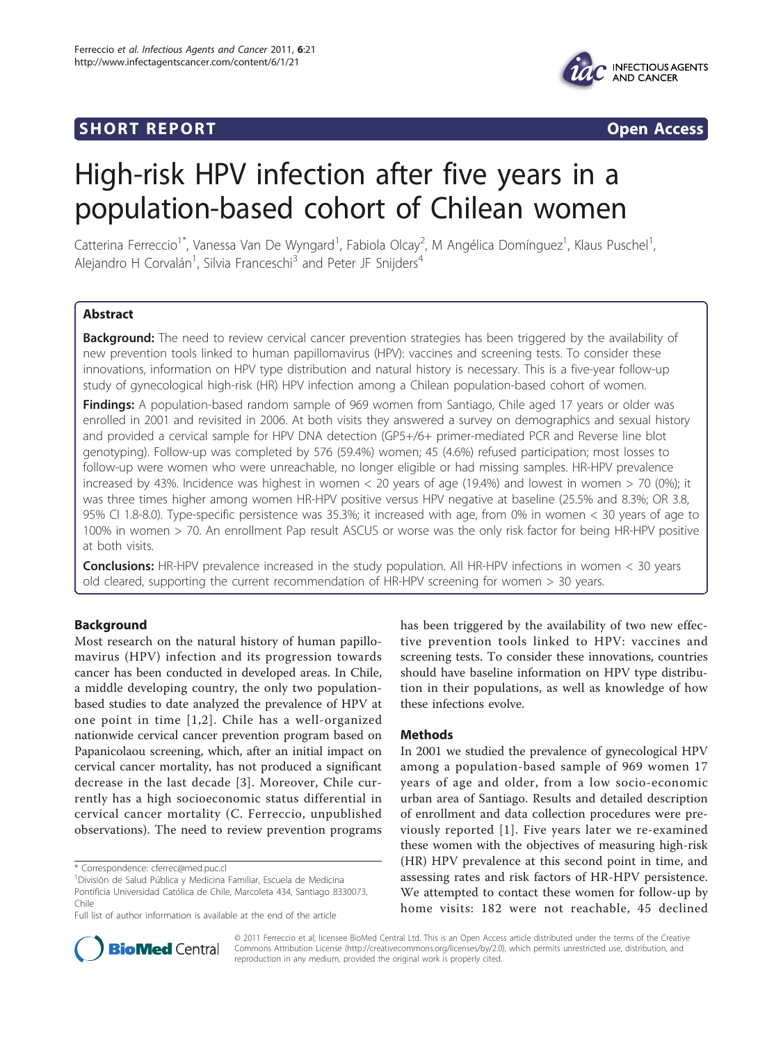## **SHORT REPORT SHORT CONSUMING THE SHORT CONSUMING THE SHORT CONSUMING THE SHORT CONSUMING THE SHORT CONSUMING THE SHORT CONSUMING THE SHORT CONSUMING THE SHORT CONSUMING THE SHORT CONSUMING THE SHORT CONSUMING THE SHORT**



# High-risk HPV infection after five years in a population-based cohort of Chilean women

Catterina Ferreccio<sup>1\*</sup>, Vanessa Van De Wyngard<sup>1</sup>, Fabiola Olcay<sup>2</sup>, M Angélica Domínguez<sup>1</sup>, Klaus Puschel<sup>1</sup> , Alejandro H Corvalán<sup>1</sup>, Silvia Franceschi<sup>3</sup> and Peter JF Snijders<sup>4</sup>

## Abstract

Background: The need to review cervical cancer prevention strategies has been triggered by the availability of new prevention tools linked to human papillomavirus (HPV): vaccines and screening tests. To consider these innovations, information on HPV type distribution and natural history is necessary. This is a five-year follow-up study of gynecological high-risk (HR) HPV infection among a Chilean population-based cohort of women.

Findings: A population-based random sample of 969 women from Santiago, Chile aged 17 years or older was enrolled in 2001 and revisited in 2006. At both visits they answered a survey on demographics and sexual history and provided a cervical sample for HPV DNA detection (GP5+/6+ primer-mediated PCR and Reverse line blot genotyping). Follow-up was completed by 576 (59.4%) women; 45 (4.6%) refused participation; most losses to follow-up were women who were unreachable, no longer eligible or had missing samples. HR-HPV prevalence increased by 43%. Incidence was highest in women < 20 years of age (19.4%) and lowest in women > 70 (0%); it was three times higher among women HR-HPV positive versus HPV negative at baseline (25.5% and 8.3%; OR 3.8, 95% CI 1.8-8.0). Type-specific persistence was 35.3%; it increased with age, from 0% in women < 30 years of age to 100% in women > 70. An enrollment Pap result ASCUS or worse was the only risk factor for being HR-HPV positive at both visits.

**Conclusions:** HR-HPV prevalence increased in the study population. All HR-HPV infections in women < 30 years old cleared, supporting the current recommendation of HR-HPV screening for women > 30 years.

## Background

Most research on the natural history of human papillomavirus (HPV) infection and its progression towards cancer has been conducted in developed areas. In Chile, a middle developing country, the only two populationbased studies to date analyzed the prevalence of HPV at one point in time [[1,2\]](#page-4-0). Chile has a well-organized nationwide cervical cancer prevention program based on Papanicolaou screening, which, after an initial impact on cervical cancer mortality, has not produced a significant decrease in the last decade [[3\]](#page-4-0). Moreover, Chile currently has a high socioeconomic status differential in cervical cancer mortality (C. Ferreccio, unpublished observations). The need to review prevention programs

\* Correspondence: [cferrec@med.puc.cl](mailto:cferrec@med.puc.cl)

has been triggered by the availability of two new effective prevention tools linked to HPV: vaccines and screening tests. To consider these innovations, countries should have baseline information on HPV type distribution in their populations, as well as knowledge of how these infections evolve.

## Methods

In 2001 we studied the prevalence of gynecological HPV among a population-based sample of 969 women 17 years of age and older, from a low socio-economic urban area of Santiago. Results and detailed description of enrollment and data collection procedures were previously reported [[1\]](#page-4-0). Five years later we re-examined these women with the objectives of measuring high-risk (HR) HPV prevalence at this second point in time, and assessing rates and risk factors of HR-HPV persistence. We attempted to contact these women for follow-up by home visits: 182 were not reachable, 45 declined



© 2011 Ferreccio et al; licensee BioMed Central Ltd. This is an Open Access article distributed under the terms of the Creative Commons Attribution License [\(http://creativecommons.org/licenses/by/2.0](http://creativecommons.org/licenses/by/2.0)), which permits unrestricted use, distribution, and reproduction in any medium, provided the original work is properly cited.

<sup>1</sup> División de Salud Pública y Medicina Familiar, Escuela de Medicina Pontificia Universidad Católica de Chile, Marcoleta 434, Santiago 8330073, Chile

Full list of author information is available at the end of the article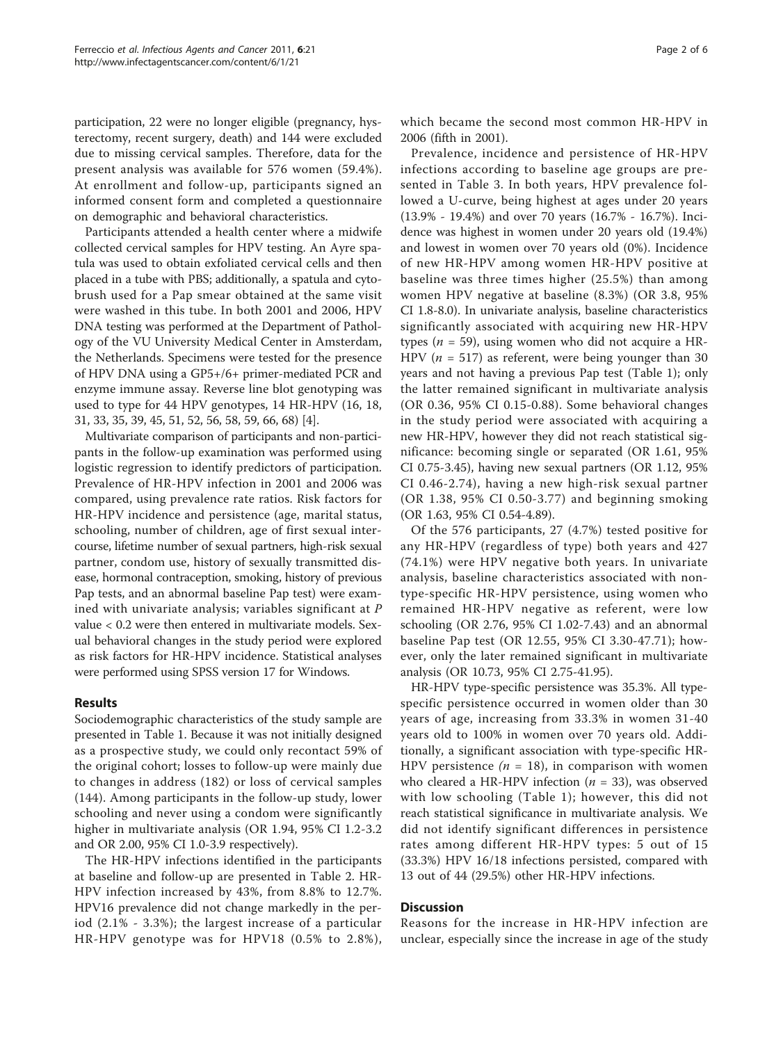participation, 22 were no longer eligible (pregnancy, hysterectomy, recent surgery, death) and 144 were excluded due to missing cervical samples. Therefore, data for the present analysis was available for 576 women (59.4%). At enrollment and follow-up, participants signed an informed consent form and completed a questionnaire on demographic and behavioral characteristics.

Participants attended a health center where a midwife collected cervical samples for HPV testing. An Ayre spatula was used to obtain exfoliated cervical cells and then placed in a tube with PBS; additionally, a spatula and cytobrush used for a Pap smear obtained at the same visit were washed in this tube. In both 2001 and 2006, HPV DNA testing was performed at the Department of Pathology of the VU University Medical Center in Amsterdam, the Netherlands. Specimens were tested for the presence of HPV DNA using a GP5+/6+ primer-mediated PCR and enzyme immune assay. Reverse line blot genotyping was used to type for 44 HPV genotypes, 14 HR-HPV (16, 18, 31, 33, 35, 39, 45, 51, 52, 56, 58, 59, 66, 68) [[4\]](#page-4-0).

Multivariate comparison of participants and non-participants in the follow-up examination was performed using logistic regression to identify predictors of participation. Prevalence of HR-HPV infection in 2001 and 2006 was compared, using prevalence rate ratios. Risk factors for HR-HPV incidence and persistence (age, marital status, schooling, number of children, age of first sexual intercourse, lifetime number of sexual partners, high-risk sexual partner, condom use, history of sexually transmitted disease, hormonal contraception, smoking, history of previous Pap tests, and an abnormal baseline Pap test) were examined with univariate analysis; variables significant at P value < 0.2 were then entered in multivariate models. Sexual behavioral changes in the study period were explored as risk factors for HR-HPV incidence. Statistical analyses were performed using SPSS version 17 for Windows.

## Results

Sociodemographic characteristics of the study sample are presented in Table [1.](#page-2-0) Because it was not initially designed as a prospective study, we could only recontact 59% of the original cohort; losses to follow-up were mainly due to changes in address (182) or loss of cervical samples (144). Among participants in the follow-up study, lower schooling and never using a condom were significantly higher in multivariate analysis (OR 1.94, 95% CI 1.2-3.2 and OR 2.00, 95% CI 1.0-3.9 respectively).

The HR-HPV infections identified in the participants at baseline and follow-up are presented in Table [2.](#page-3-0) HR-HPV infection increased by 43%, from 8.8% to 12.7%. HPV16 prevalence did not change markedly in the period (2.1% - 3.3%); the largest increase of a particular HR-HPV genotype was for HPV18 (0.5% to 2.8%),

which became the second most common HR-HPV in 2006 (fifth in 2001).

Prevalence, incidence and persistence of HR-HPV infections according to baseline age groups are presented in Table [3.](#page-3-0) In both years, HPV prevalence followed a U-curve, being highest at ages under 20 years (13.9% - 19.4%) and over 70 years (16.7% - 16.7%). Incidence was highest in women under 20 years old (19.4%) and lowest in women over 70 years old (0%). Incidence of new HR-HPV among women HR-HPV positive at baseline was three times higher (25.5%) than among women HPV negative at baseline (8.3%) (OR 3.8, 95% CI 1.8-8.0). In univariate analysis, baseline characteristics significantly associated with acquiring new HR-HPV types ( $n = 59$ ), using women who did not acquire a HR-HPV ( $n = 517$ ) as referent, were being younger than 30 years and not having a previous Pap test (Table [1](#page-2-0)); only the latter remained significant in multivariate analysis (OR 0.36, 95% CI 0.15-0.88). Some behavioral changes in the study period were associated with acquiring a new HR-HPV, however they did not reach statistical significance: becoming single or separated (OR 1.61, 95% CI 0.75-3.45), having new sexual partners (OR 1.12, 95% CI 0.46-2.74), having a new high-risk sexual partner (OR 1.38, 95% CI 0.50-3.77) and beginning smoking (OR 1.63, 95% CI 0.54-4.89).

Of the 576 participants, 27 (4.7%) tested positive for any HR-HPV (regardless of type) both years and 427 (74.1%) were HPV negative both years. In univariate analysis, baseline characteristics associated with nontype-specific HR-HPV persistence, using women who remained HR-HPV negative as referent, were low schooling (OR 2.76, 95% CI 1.02-7.43) and an abnormal baseline Pap test (OR 12.55, 95% CI 3.30-47.71); however, only the later remained significant in multivariate analysis (OR 10.73, 95% CI 2.75-41.95).

HR-HPV type-specific persistence was 35.3%. All typespecific persistence occurred in women older than 30 years of age, increasing from 33.3% in women 31-40 years old to 100% in women over 70 years old. Additionally, a significant association with type-specific HR-HPV persistence ( $n = 18$ ), in comparison with women who cleared a HR-HPV infection ( $n = 33$ ), was observed with low schooling (Table [1](#page-2-0)); however, this did not reach statistical significance in multivariate analysis. We did not identify significant differences in persistence rates among different HR-HPV types: 5 out of 15 (33.3%) HPV 16/18 infections persisted, compared with 13 out of 44 (29.5%) other HR-HPV infections.

## **Discussion**

Reasons for the increase in HR-HPV infection are unclear, especially since the increase in age of the study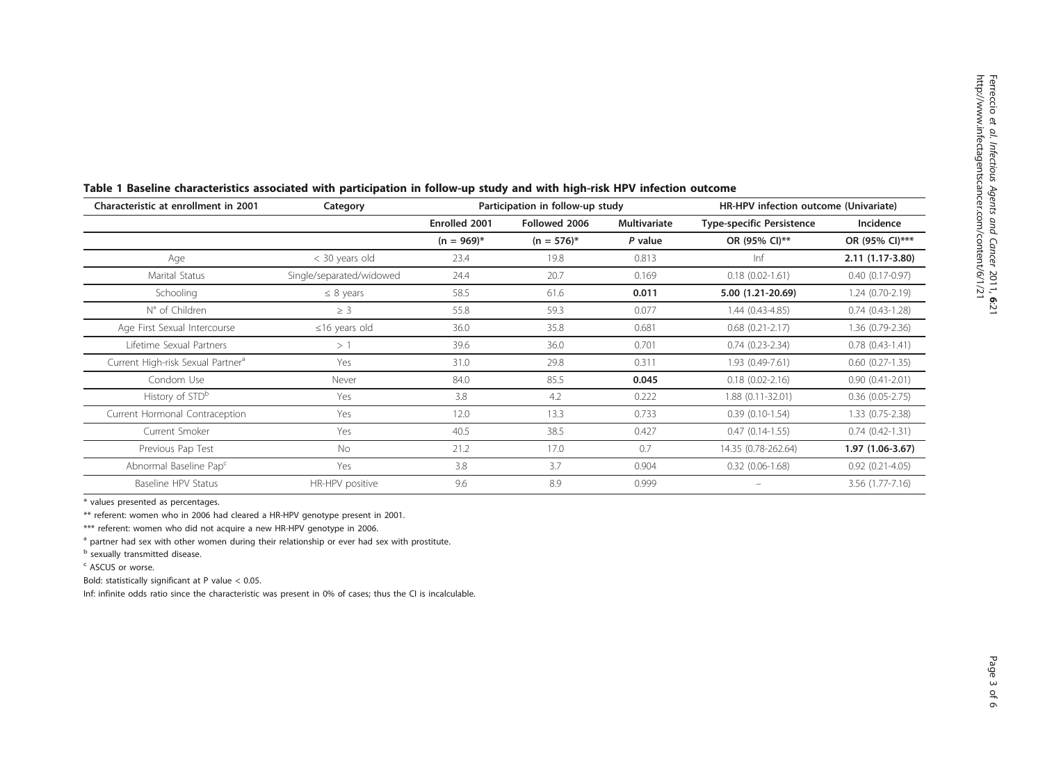| Characteristic at enrollment in 2001          | Category                 | Participation in follow-up study |                 |              | HR-HPV infection outcome (Univariate) |                     |  |
|-----------------------------------------------|--------------------------|----------------------------------|-----------------|--------------|---------------------------------------|---------------------|--|
|                                               |                          | Enrolled 2001                    | Followed 2006   | Multivariate | <b>Type-specific Persistence</b>      | Incidence           |  |
|                                               |                          | $(n = 969)^{*}$                  | $(n = 576)^{*}$ | P value      | OR (95% CI)**                         | OR (95% CI)***      |  |
| Age                                           | < 30 years old           | 23.4                             | 19.8            | 0.813        | Inf                                   | $2.11(1.17-3.80)$   |  |
| Marital Status                                | Single/separated/widowed | 24.4                             | 20.7            | 0.169        | $0.18(0.02 - 1.61)$                   | $0.40(0.17-0.97)$   |  |
| Schooling                                     | $\leq 8$ years           | 58.5                             | 61.6            | 0.011        | 5.00 (1.21-20.69)                     | $1.24(0.70-2.19)$   |  |
| N° of Children                                | $\geq$ 3                 | 55.8                             | 59.3            | 0.077        | $1.44(0.43 - 4.85)$                   | $0.74(0.43-1.28)$   |  |
| Age First Sexual Intercourse                  | $\leq$ 16 years old      | 36.0                             | 35.8            | 0.681        | $0.68$ $(0.21 - 2.17)$                | $1.36(0.79-2.36)$   |  |
| Lifetime Sexual Partners                      | >1                       | 39.6                             | 36.0            | 0.701        | $0.74(0.23-2.34)$                     | $0.78(0.43-1.41)$   |  |
| Current High-risk Sexual Partner <sup>a</sup> | Yes                      | 31.0                             | 29.8            | 0.311        | 1.93 (0.49-7.61)                      | $0.60(0.27-1.35)$   |  |
| Condom Use                                    | Never                    | 84.0                             | 85.5            | 0.045        | $0.18(0.02 - 2.16)$                   | $0.90(0.41 - 2.01)$ |  |
| History of STD <sup>b</sup>                   | Yes                      | 3.8                              | 4.2             | 0.222        | 1.88 (0.11-32.01)                     | $0.36$ (0.05-2.75)  |  |
| Current Hormonal Contraception                | Yes                      | 12.0                             | 13.3            | 0.733        | $0.39(0.10-1.54)$                     | $1.33(0.75-2.38)$   |  |
| Current Smoker                                | Yes                      | 40.5                             | 38.5            | 0.427        | $0.47(0.14-1.55)$                     | $0.74(0.42-1.31)$   |  |
| Previous Pap Test                             | No                       | 21.2                             | 17.0            | 0.7          | 14.35 (0.78-262.64)                   | 1.97 (1.06-3.67)    |  |
| Abnormal Baseline Pap <sup>c</sup>            | Yes                      | 3.8                              | 3.7             | 0.904        | $0.32(0.06-1.68)$                     | $0.92(0.21 - 4.05)$ |  |
| Baseline HPV Status                           | HR-HPV positive          | 9.6                              | 8.9             | 0.999        |                                       | 3.56 (1.77-7.16)    |  |

<span id="page-2-0"></span>Table 1 Baseline characteristics associated with participation in follow-up study and with high-risk HPV infection outcome

\* values presented as percentages.

\*\* referent: women who in 2006 had cleared a HR-HPV genotype present in 2001.

\*\*\* referent: women who did not acquire a new HR-HPV genotype in 2006.

<sup>a</sup> partner had sex with other women during their relationship or ever had sex with prostitute.

<sup>b</sup> sexually transmitted disease.

<sup>c</sup> ASCUS or worse.

Bold: statistically significant at P value < 0.05.

Inf: infinite odds ratio since the characteristic was present in 0% of cases; thus the CI is incalculable.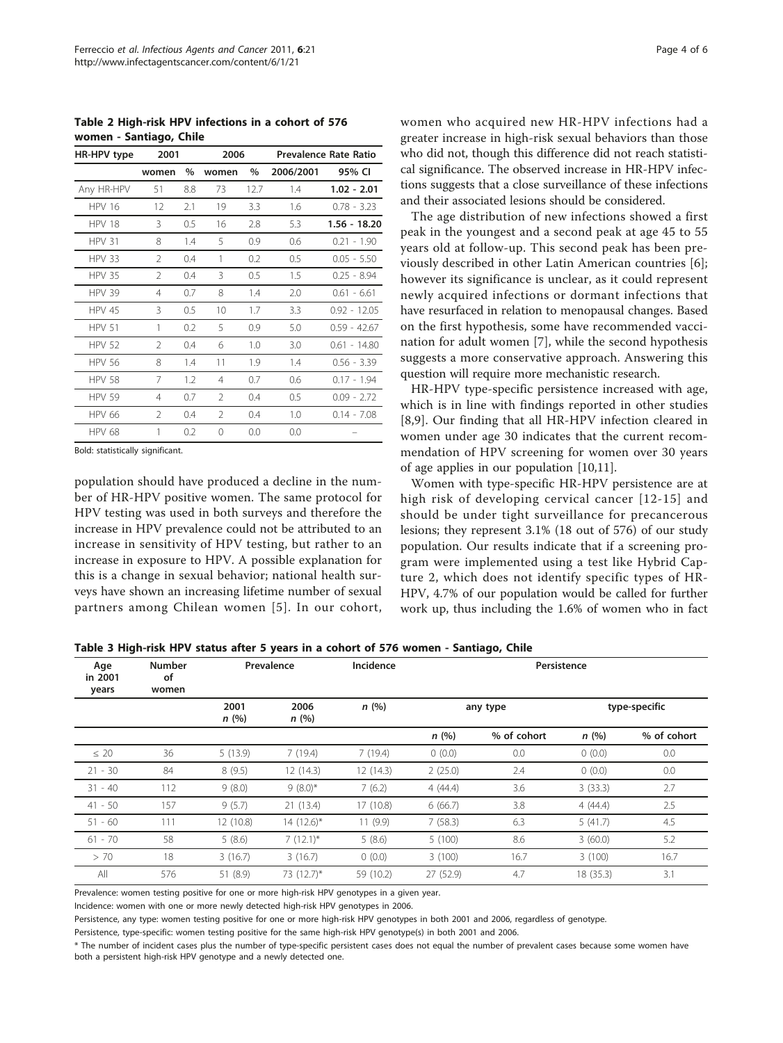<span id="page-3-0"></span>Table 2 High-risk HPV infections in a cohort of 576 women - Santiago, Chile

| HR-HPV type   | 2001           |      | 2006     |      |           | Prevalence Rate Ratio |
|---------------|----------------|------|----------|------|-----------|-----------------------|
|               | women          | $\%$ | women    | %    | 2006/2001 | 95% CI                |
| Any HR-HPV    | 51             | 8.8  | 73       | 12.7 | 1.4       | $1.02 - 2.01$         |
| <b>HPV 16</b> | 12             | 2.1  | 19       | 3.3  | 1.6       | $0.78 - 3.23$         |
| <b>HPV 18</b> | 3              | 0.5  | 16       | 2.8  | 5.3       | 1.56 - 18.20          |
| <b>HPV 31</b> | 8              | 1.4  | 5        | 0.9  | 0.6       | $0.21 - 1.90$         |
| <b>HPV 33</b> | 2              | 0.4  | 1        | 0.2  | 0.5       | $0.05 - 5.50$         |
| <b>HPV 35</b> | $\mathfrak{D}$ | 0.4  | 3        | 0.5  | 1.5       | $0.25 - 8.94$         |
| <b>HPV 39</b> | 4              | 0.7  | 8        | 1.4  | 2.0       | $0.61 - 6.61$         |
| <b>HPV 45</b> | 3              | 0.5  | 10       | 1.7  | 3.3       | $0.92 - 12.05$        |
| <b>HPV 51</b> | 1              | 0.2  | 5        | 0.9  | 5.0       | $0.59 - 42.67$        |
| <b>HPV 52</b> | $\mathcal{P}$  | 0.4  | 6        | 1.0  | 3.0       | $0.61 - 14.80$        |
| <b>HPV 56</b> | 8              | 1.4  | 11       | 1.9  | 1.4       | $0.56 - 3.39$         |
| <b>HPV 58</b> | 7              | 1.2  | 4        | 0.7  | 0.6       | $0.17 - 1.94$         |
| <b>HPV 59</b> | 4              | 0.7  | 2        | 0.4  | 0.5       | $0.09 - 2.72$         |
| <b>HPV 66</b> | $\overline{2}$ | 0.4  | 2        | 0.4  | 1.0       | $0.14 - 7.08$         |
| <b>HPV 68</b> | 1              | 0.2  | $\Omega$ | 0.0  | 0.0       |                       |

Bold: statistically significant.

population should have produced a decline in the number of HR-HPV positive women. The same protocol for HPV testing was used in both surveys and therefore the increase in HPV prevalence could not be attributed to an increase in sensitivity of HPV testing, but rather to an increase in exposure to HPV. A possible explanation for this is a change in sexual behavior; national health surveys have shown an increasing lifetime number of sexual partners among Chilean women [[5\]](#page-4-0). In our cohort, women who acquired new HR-HPV infections had a greater increase in high-risk sexual behaviors than those who did not, though this difference did not reach statistical significance. The observed increase in HR-HPV infections suggests that a close surveillance of these infections and their associated lesions should be considered.

The age distribution of new infections showed a first peak in the youngest and a second peak at age 45 to 55 years old at follow-up. This second peak has been previously described in other Latin American countries [[6](#page-4-0)]; however its significance is unclear, as it could represent newly acquired infections or dormant infections that have resurfaced in relation to menopausal changes. Based on the first hypothesis, some have recommended vaccination for adult women [\[7](#page-4-0)], while the second hypothesis suggests a more conservative approach. Answering this question will require more mechanistic research.

HR-HPV type-specific persistence increased with age, which is in line with findings reported in other studies [[8,9](#page-4-0)]. Our finding that all HR-HPV infection cleared in women under age 30 indicates that the current recommendation of HPV screening for women over 30 years of age applies in our population [\[10,11](#page-4-0)].

Women with type-specific HR-HPV persistence are at high risk of developing cervical cancer [[12](#page-4-0)-[15](#page-4-0)] and should be under tight surveillance for precancerous lesions; they represent 3.1% (18 out of 576) of our study population. Our results indicate that if a screening program were implemented using a test like Hybrid Capture 2, which does not identify specific types of HR-HPV, 4.7% of our population would be called for further work up, thus including the 1.6% of women who in fact

| Age<br>in 2001<br>years | <b>Number</b><br>of<br>women |              | Prevalence     | Incidence | Persistence |             |               |             |
|-------------------------|------------------------------|--------------|----------------|-----------|-------------|-------------|---------------|-------------|
|                         |                              | 2001<br>n(%) | 2006<br>n(%)   | n(%)      | any type    |             | type-specific |             |
|                         |                              |              |                |           | n(%)        | % of cohort | n(%)          | % of cohort |
| $\leq 20$               | 36                           | 5(13.9)      | 7(19.4)        | 7(19.4)   | 0(0.0)      | 0.0         | 0(0.0)        | 0.0         |
| $21 - 30$               | 84                           | 8(9.5)       | 12 (14.3)      | 12(14.3)  | 2(25.0)     | 2.4         | 0(0.0)        | 0.0         |
| $31 - 40$               | 112                          | 9(8.0)       | $9(8.0)$ *     | 7(6.2)    | 4(44.4)     | 3.6         | 3(33.3)       | 2.7         |
| $41 - 50$               | 157                          | 9(5.7)       | 21 (13.4)      | 17(10.8)  | 6(66.7)     | 3.8         | 4(44.4)       | 2.5         |
| $51 - 60$               | 111                          | 12 (10.8)    | $14(12.6)^{*}$ | 11(9.9)   | 7(58.3)     | 6.3         | 5(41.7)       | 4.5         |
| $61 - 70$               | 58                           | 5(8.6)       | $7(12.1)^{*}$  | 5(8.6)    | 5(100)      | 8.6         | 3(60.0)       | 5.2         |
| > 70                    | 18                           | 3(16.7)      | 3(16.7)        | 0(0.0)    | 3(100)      | 16.7        | 3(100)        | 16.7        |
| All                     | 576                          | 51 (8.9)     | 73 (12.7)*     | 59 (10.2) | 27 (52.9)   | 4.7         | 18 (35.3)     | 3.1         |

Table 3 High-risk HPV status after 5 years in a cohort of 576 women - Santiago, Chile

Prevalence: women testing positive for one or more high-risk HPV genotypes in a given year.

Incidence: women with one or more newly detected high-risk HPV genotypes in 2006.

Persistence, any type: women testing positive for one or more high-risk HPV genotypes in both 2001 and 2006, regardless of genotype.

Persistence, type-specific: women testing positive for the same high-risk HPV genotype(s) in both 2001 and 2006.

\* The number of incident cases plus the number of type-specific persistent cases does not equal the number of prevalent cases because some women have both a persistent high-risk HPV genotype and a newly detected one.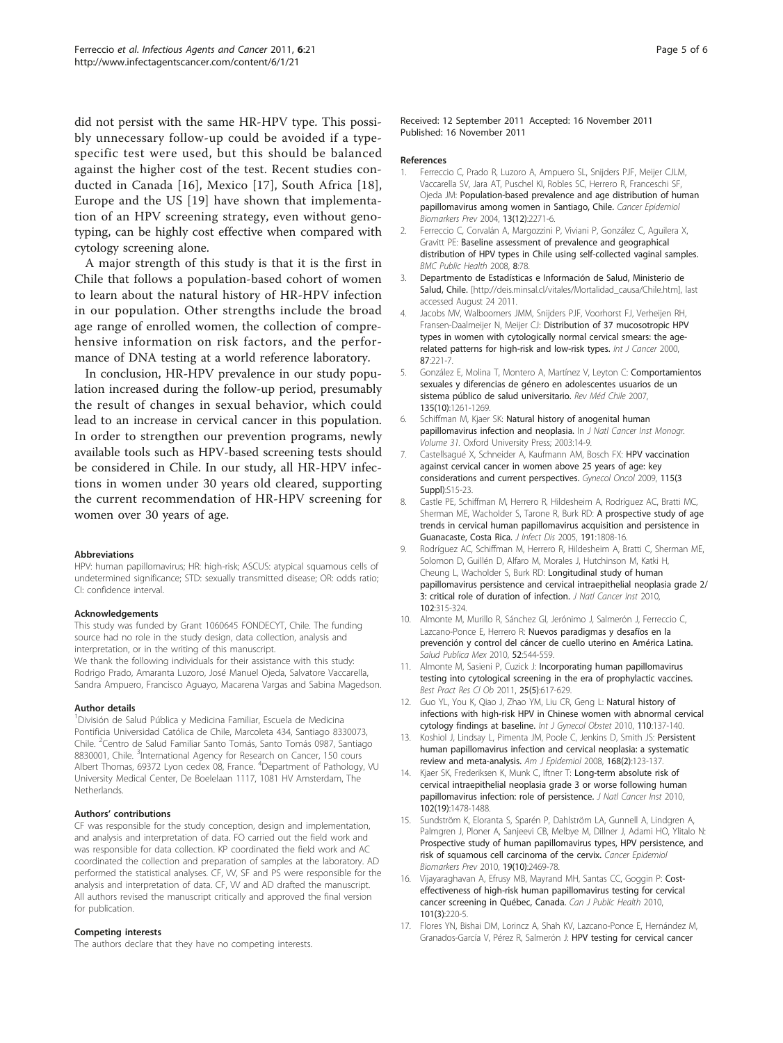<span id="page-4-0"></span>did not persist with the same HR-HPV type. This possibly unnecessary follow-up could be avoided if a typespecific test were used, but this should be balanced against the higher cost of the test. Recent studies conducted in Canada [16], Mexico [17], South Africa [[18](#page-5-0)], Europe and the US [[19\]](#page-5-0) have shown that implementation of an HPV screening strategy, even without genotyping, can be highly cost effective when compared with cytology screening alone.

A major strength of this study is that it is the first in Chile that follows a population-based cohort of women to learn about the natural history of HR-HPV infection in our population. Other strengths include the broad age range of enrolled women, the collection of comprehensive information on risk factors, and the performance of DNA testing at a world reference laboratory.

In conclusion, HR-HPV prevalence in our study population increased during the follow-up period, presumably the result of changes in sexual behavior, which could lead to an increase in cervical cancer in this population. In order to strengthen our prevention programs, newly available tools such as HPV-based screening tests should be considered in Chile. In our study, all HR-HPV infections in women under 30 years old cleared, supporting the current recommendation of HR-HPV screening for women over 30 years of age.

#### Abbreviations

HPV: human papillomavirus; HR: high-risk; ASCUS: atypical squamous cells of undetermined significance; STD: sexually transmitted disease; OR: odds ratio; CI: confidence interval.

#### Acknowledgements

This study was funded by Grant 1060645 FONDECYT, Chile. The funding source had no role in the study design, data collection, analysis and interpretation, or in the writing of this manuscript. We thank the following individuals for their assistance with this study: Rodrigo Prado, Amaranta Luzoro, José Manuel Ojeda, Salvatore Vaccarella,

Sandra Ampuero, Francisco Aguayo, Macarena Vargas and Sabina Magedson.

#### Author details

<sup>1</sup>División de Salud Pública y Medicina Familiar, Escuela de Medicina Pontificia Universidad Católica de Chile, Marcoleta 434, Santiago 8330073, Chile. <sup>2</sup>Centro de Salud Familiar Santo Tomás, Santo Tomás 0987, Santiago 8830001, Chile. <sup>3</sup>International Agency for Research on Cancer, 150 cours Albert Thomas, 69372 Lyon cedex 08, France. <sup>4</sup>Department of Pathology, VU University Medical Center, De Boelelaan 1117, 1081 HV Amsterdam, The **Netherlands** 

#### Authors' contributions

CF was responsible for the study conception, design and implementation, and analysis and interpretation of data. FO carried out the field work and was responsible for data collection. KP coordinated the field work and AC coordinated the collection and preparation of samples at the laboratory. AD performed the statistical analyses. CF, VV, SF and PS were responsible for the analysis and interpretation of data. CF, VV and AD drafted the manuscript. All authors revised the manuscript critically and approved the final version for publication.

#### Competing interests

The authors declare that they have no competing interests.

Received: 12 September 2011 Accepted: 16 November 2011 Published: 16 November 2011

#### References

- 1. Ferreccio C, Prado R, Luzoro A, Ampuero SL, Snijders PJF, Meijer CJLM, Vaccarella SV, Jara AT, Puschel KI, Robles SC, Herrero R, Franceschi SF, Ojeda JM: [Population-based prevalence and age distribution of human](http://www.ncbi.nlm.nih.gov/pubmed/15598792?dopt=Abstract) [papillomavirus among women in Santiago, Chile.](http://www.ncbi.nlm.nih.gov/pubmed/15598792?dopt=Abstract) Cancer Epidemiol Biomarkers Prev 2004, 13(12):2271-6.
- 2. Ferreccio C, Corvalán A, Margozzini P, Viviani P, González C, Aguilera X, Gravitt PE: [Baseline assessment of prevalence and geographical](http://www.ncbi.nlm.nih.gov/pubmed/18304362?dopt=Abstract) [distribution of HPV types in Chile using self-collected vaginal samples.](http://www.ncbi.nlm.nih.gov/pubmed/18304362?dopt=Abstract) BMC Public Health 2008, 8:78.
- 3. Departmento de Estadísticas e Información de Salud, Ministerio de Salud, Chile. [\[http://deis.minsal.cl/vitales/Mortalidad\\_causa/Chile.htm\]](http://deis.minsal.cl/vitales/Mortalidad_causa/Chile.htm), last accessed August 24 2011.
- 4. Jacobs MV, Walboomers JMM, Snijders PJF, Voorhorst FJ, Verheijen RH, Fransen-Daalmeijer N, Meijer CJ: [Distribution of 37 mucosotropic HPV](http://www.ncbi.nlm.nih.gov/pubmed/10861478?dopt=Abstract) [types in women with cytologically normal cervical smears: the age](http://www.ncbi.nlm.nih.gov/pubmed/10861478?dopt=Abstract)[related patterns for high-risk and low-risk types.](http://www.ncbi.nlm.nih.gov/pubmed/10861478?dopt=Abstract) Int J Cancer 2000, 87:221-7.
- 5. González E, Molina T, Montero A, Martínez V, Leyton C: [Comportamientos](http://www.ncbi.nlm.nih.gov/pubmed/21267112?dopt=Abstract) [sexuales y diferencias de género en adolescentes usuarios de un](http://www.ncbi.nlm.nih.gov/pubmed/21267112?dopt=Abstract) [sistema público de salud universitario.](http://www.ncbi.nlm.nih.gov/pubmed/21267112?dopt=Abstract) Rev Méd Chile 2007, 135(10):1261-1269.
- 6. Schiffman M, Kjaer SK: [Natural history of anogenital human](http://www.ncbi.nlm.nih.gov/pubmed/12807940?dopt=Abstract) [papillomavirus infection and neoplasia.](http://www.ncbi.nlm.nih.gov/pubmed/12807940?dopt=Abstract) In J Natl Cancer Inst Monogr. Volume 31. Oxford University Press; 2003:14-9.
- 7. Castellsagué X, Schneider A, Kaufmann AM, Bosch FX: [HPV vaccination](http://www.ncbi.nlm.nih.gov/pubmed/19819540?dopt=Abstract) [against cervical cancer in women above 25 years of age: key](http://www.ncbi.nlm.nih.gov/pubmed/19819540?dopt=Abstract) [considerations and current perspectives.](http://www.ncbi.nlm.nih.gov/pubmed/19819540?dopt=Abstract) Gynecol Oncol 2009, 115(3 Suppl):S15-23.
- 8. Castle PE, Schiffman M, Herrero R, Hildesheim A, Rodríguez AC, Bratti MC, Sherman ME, Wacholder S, Tarone R, Burk RD: [A prospective study of age](http://www.ncbi.nlm.nih.gov/pubmed/15871112?dopt=Abstract) [trends in cervical human papillomavirus acquisition and persistence in](http://www.ncbi.nlm.nih.gov/pubmed/15871112?dopt=Abstract) [Guanacaste, Costa Rica.](http://www.ncbi.nlm.nih.gov/pubmed/15871112?dopt=Abstract) J Infect Dis 2005, 191:1808-16.
- Rodríguez AC, Schiffman M, Herrero R, Hildesheim A, Bratti C, Sherman ME, Solomon D, Guillén D, Alfaro M, Morales J, Hutchinson M, Katki H, Cheung L, Wacholder S, Burk RD: [Longitudinal study of human](http://www.ncbi.nlm.nih.gov/pubmed/20157096?dopt=Abstract) [papillomavirus persistence and cervical intraepithelial neoplasia grade 2/](http://www.ncbi.nlm.nih.gov/pubmed/20157096?dopt=Abstract) [3: critical role of duration of infection.](http://www.ncbi.nlm.nih.gov/pubmed/20157096?dopt=Abstract) J Natl Cancer Inst 2010, 102:315-324.
- 10. Almonte M, Murillo R, Sánchez GI, Jerónimo J, Salmerón J, Ferreccio C, Lazcano-Ponce E, Herrero R: [Nuevos paradigmas y desafíos en la](http://www.ncbi.nlm.nih.gov/pubmed/21271014?dopt=Abstract) [prevención y control del cáncer de cuello uterino en América Latina.](http://www.ncbi.nlm.nih.gov/pubmed/21271014?dopt=Abstract) Salud Publica Mex 2010, 52:544-559.
- 11. Almonte M, Sasieni P, Cuzick J: Incorporating human papillomavirus testing into cytological screening in the era of prophylactic vaccines. Best Pract Res Cl Ob 2011, 25(5):617-629.
- 12. Guo YL, You K, Qiao J, Zhao YM, Liu CR, Geng L: Natural history of infections with high-risk HPV in Chinese women with abnormal cervical cytology findings at baseline. Int J Gynecol Obstet 2010, 110:137-140.
- 13. Koshiol J, Lindsay L, Pimenta JM, Poole C, Jenkins D, Smith JS: [Persistent](http://www.ncbi.nlm.nih.gov/pubmed/18483125?dopt=Abstract) [human papillomavirus infection and cervical neoplasia: a systematic](http://www.ncbi.nlm.nih.gov/pubmed/18483125?dopt=Abstract) [review and meta-analysis.](http://www.ncbi.nlm.nih.gov/pubmed/18483125?dopt=Abstract) Am J Epidemiol 2008, 168(2):123-137
- 14. Kjaer SK, Frederiksen K, Munk C, Iftner T: [Long-term absolute risk of](http://www.ncbi.nlm.nih.gov/pubmed/20841605?dopt=Abstract) [cervical intraepithelial neoplasia grade 3 or worse following human](http://www.ncbi.nlm.nih.gov/pubmed/20841605?dopt=Abstract) [papillomavirus infection: role of persistence.](http://www.ncbi.nlm.nih.gov/pubmed/20841605?dopt=Abstract) J Natl Cancer Inst 2010, 102(19):1478-1488.
- 15. Sundström K, Eloranta S, Sparén P, Dahlström LA, Gunnell A, Lindgren A, Palmgren J, Ploner A, Sanjeevi CB, Melbye M, Dillner J, Adami HO, Ylitalo N: [Prospective study of human papillomavirus types, HPV persistence, and](http://www.ncbi.nlm.nih.gov/pubmed/20671136?dopt=Abstract) [risk of squamous cell carcinoma of the cervix.](http://www.ncbi.nlm.nih.gov/pubmed/20671136?dopt=Abstract) Cancer Epidemiol Biomarkers Prev 2010, 19(10):2469-78.
- 16. Vijayaraghavan A, Efrusy MB, Mayrand MH, Santas CC, Goggin P: [Cost](http://www.ncbi.nlm.nih.gov/pubmed/20737813?dopt=Abstract)[effectiveness of high-risk human papillomavirus testing for cervical](http://www.ncbi.nlm.nih.gov/pubmed/20737813?dopt=Abstract) [cancer screening in Québec, Canada.](http://www.ncbi.nlm.nih.gov/pubmed/20737813?dopt=Abstract) Can J Public Health 2010, 101(3):220-5.
- 17. Flores YN, Bishai DM, Lorincz A, Shah KV, Lazcano-Ponce E, Hernández M, Granados-García V, Pérez R, Salmerón J: [HPV testing for cervical cancer](http://www.ncbi.nlm.nih.gov/pubmed/21170578?dopt=Abstract)